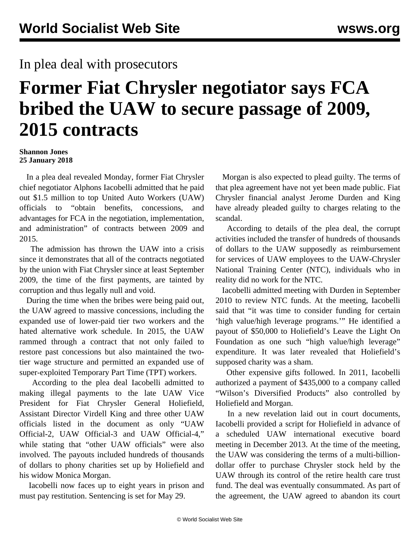## In plea deal with prosecutors

## **Former Fiat Chrysler negotiator says FCA bribed the UAW to secure passage of 2009, 2015 contracts**

## **Shannon Jones 25 January 2018**

 In a plea deal revealed Monday, former Fiat Chrysler chief negotiator Alphons Iacobelli admitted that he paid out \$1.5 million to top United Auto Workers (UAW) officials to "obtain benefits, concessions, and advantages for FCA in the negotiation, implementation, and administration" of contracts between 2009 and 2015.

 The admission has thrown the UAW into a crisis since it demonstrates that all of the contracts negotiated by the union with Fiat Chrysler since at least September 2009, the time of the first payments, are tainted by corruption and thus legally null and void.

 During the time when the bribes were being paid out, the UAW agreed to massive concessions, including the expanded use of lower-paid tier two workers and the hated alternative work schedule. In 2015, the UAW rammed through a contract that not only failed to restore past concessions but also maintained the twotier wage structure and permitted an expanded use of super-exploited Temporary Part Time (TPT) workers.

 According to the plea deal Iacobelli admitted to making illegal payments to the late UAW Vice President for Fiat Chrysler General Holiefield, Assistant Director Virdell King and three other UAW officials listed in the document as only "UAW Official-2, UAW Official-3 and UAW Official-4," while stating that "other UAW officials" were also involved. The payouts included hundreds of thousands of dollars to phony charities set up by Holiefield and his widow Monica Morgan.

 Iacobelli now faces up to eight years in prison and must pay restitution. Sentencing is set for May 29.

 Morgan is also expected to plead guilty. The terms of that plea agreement have not yet been made public. Fiat Chrysler financial analyst Jerome Durden and King have already pleaded guilty to charges relating to the scandal.

 According to details of the plea deal, the corrupt activities included the transfer of hundreds of thousands of dollars to the UAW supposedly as reimbursement for services of UAW employees to the UAW-Chrysler National Training Center (NTC), individuals who in reality did no work for the NTC.

 Iacobelli admitted meeting with Durden in September 2010 to review NTC funds. At the meeting, Iacobelli said that "it was time to consider funding for certain 'high value/high leverage programs.'" He identified a payout of \$50,000 to Holiefield's Leave the Light On Foundation as one such "high value/high leverage" expenditure. It was later revealed that Holiefield's supposed charity was a sham.

 Other expensive gifts followed. In 2011, Iacobelli authorized a payment of \$435,000 to a company called "Wilson's Diversified Products" also controlled by Holiefield and Morgan.

 In a new revelation laid out in court documents, Iacobelli provided a script for Holiefield in advance of a scheduled UAW international executive board meeting in December 2013. At the time of the meeting, the UAW was considering the terms of a multi-billiondollar offer to purchase Chrysler stock held by the UAW through its control of the retire health care trust fund. The deal was eventually consummated. As part of the agreement, the UAW agreed to abandon its court